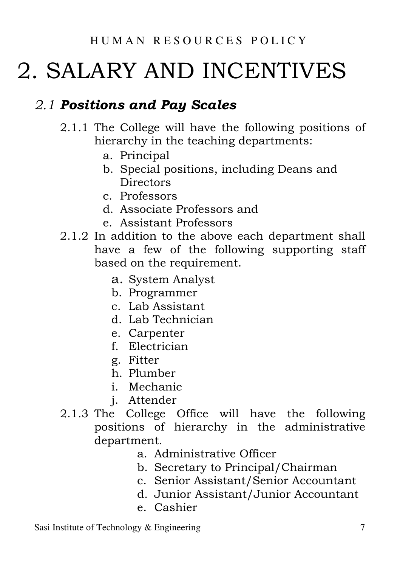# 2. SALARY AND INCENTIVES

# 2.1 Positions and Pay Scales

- 2.1.1 The College will have the following positions of hierarchy in the teaching departments:
	- a. Principal
	- b. Special positions, including Deans and **Directors**
	- c. Professors
	- d. Associate Professors and
	- e. Assistant Professors
- 2.1.2 In addition to the above each department shall have a few of the following supporting staff based on the requirement.
	- a. System Analyst
	- b. Programmer
	- c. Lab Assistant
	- d. Lab Technician
	- e. Carpenter
	- f. Electrician
	- g. Fitter
	- h. Plumber
	- i. Mechanic
	- j. Attender
- 2.1.3 The College Office will have the following positions of hierarchy in the administrative department.
	- a. Administrative Officer
	- b. Secretary to Principal/Chairman
	- c. Senior Assistant/Senior Accountant
	- d. Junior Assistant/Junior Accountant
	- e. Cashier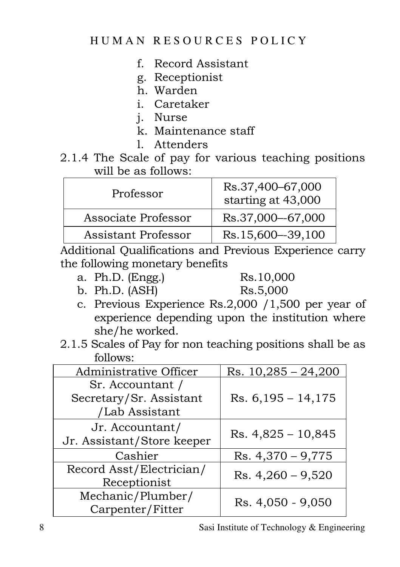#### HUMAN RESOURCES POLICY

- f. Record Assistant
- g. Receptionist
- h. Warden
- i. Caretaker
- j. Nurse
- k. Maintenance staff
- l. Attenders
- 2.1.4 The Scale of pay for various teaching positions will be as follows:

| Professor           | Rs.37,400-67,000<br>starting at 43,000 |
|---------------------|----------------------------------------|
| Associate Professor | Rs.37,000-67,000                       |
| Assistant Professor | Rs.15,600-39,100                       |

Additional Qualifications and Previous Experience carry the following monetary benefits

a. Ph.D. (Engg.) Rs.10,000

b. Ph.D. (ASH) Rs.5,000

- c. Previous Experience Rs.2,000 /1,500 per year of experience depending upon the institution where she/he worked.
- 2.1.5 Scales of Pay for non teaching positions shall be as follows:

| Administrative Officer                                        | Rs. $10,285 - 24,200$ |
|---------------------------------------------------------------|-----------------------|
| Sr. Accountant /<br>Secretary/Sr. Assistant<br>/Lab Assistant | $Rs. 6,195 - 14,175$  |
| Jr. Accountant/<br>Jr. Assistant/Store keeper                 | $Rs. 4,825 - 10,845$  |
| Cashier                                                       | $Rs. 4,370 - 9,775$   |
| Record Asst/Electrician/<br>Receptionist                      | Rs. $4,260 - 9,520$   |
| Mechanic/Plumber/<br>Carpenter/Fitter                         | Rs. 4,050 - 9,050     |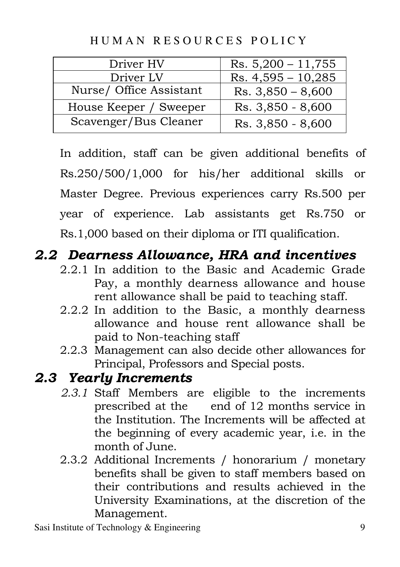Driver HV Rs.  $5,200 - 11,755$ Driver LV Rs. 4,595 – 10,285

Nurse/ Office Assistant  $\vert$  Rs. 3,850 – 8,600 House Keeper / Sweeper | Rs.  $3,850 - 8,600$ Scavenger/Bus Cleaner  $\vert$  Rs. 3,850 - 8,600

HUMAN RESOURCES POLICY

In addition, staff can be given additional benefits of Rs.250/500/1,000 for his/her additional skills or Master Degree. Previous experiences carry Rs.500 per year of experience. Lab assistants get Rs.750 or Rs.1,000 based on their diploma or ITI qualification.

# 2.2 Dearness Allowance, HRA and incentives

- 2.2.1 In addition to the Basic and Academic Grade Pay, a monthly dearness allowance and house rent allowance shall be paid to teaching staff.
- 2.2.2 In addition to the Basic, a monthly dearness allowance and house rent allowance shall be paid to Non-teaching staff
- 2.2.3 Management can also decide other allowances for Principal, Professors and Special posts.

### 2.3 Yearly Increments

- 2.3.1 Staff Members are eligible to the increments prescribed at the end of 12 months service in the Institution. The Increments will be affected at the beginning of every academic year, i.e. in the month of June.
- 2.3.2 Additional Increments / honorarium / monetary benefits shall be given to staff members based on their contributions and results achieved in the University Examinations, at the discretion of the Management.

Sasi Institute of Technology & Engineering 9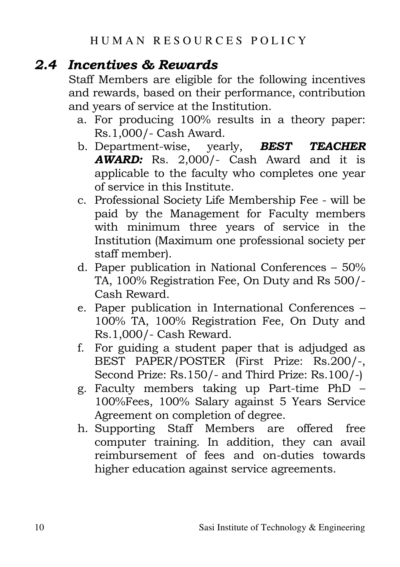# 2.4 Incentives & Rewards

Staff Members are eligible for the following incentives and rewards, based on their performance, contribution and years of service at the Institution.

- a. For producing 100% results in a theory paper: Rs.1,000/- Cash Award.
- b. Department-wise, yearly, **BEST TEACHER** AWARD: Rs. 2,000/- Cash Award and it is applicable to the faculty who completes one year of service in this Institute.
- c. Professional Society Life Membership Fee will be paid by the Management for Faculty members with minimum three years of service in the Institution (Maximum one professional society per staff member).
- d. Paper publication in National Conferences 50% TA, 100% Registration Fee, On Duty and Rs 500/- Cash Reward.
- e. Paper publication in International Conferences 100% TA, 100% Registration Fee, On Duty and Rs.1,000/- Cash Reward.
- f. For guiding a student paper that is adjudged as BEST PAPER/POSTER (First Prize: Rs.200/-, Second Prize: Rs.150/- and Third Prize: Rs.100/-)
- g. Faculty members taking up Part-time PhD 100%Fees, 100% Salary against 5 Years Service Agreement on completion of degree.
- h. Supporting Staff Members are offered free computer training. In addition, they can avail reimbursement of fees and on-duties towards higher education against service agreements.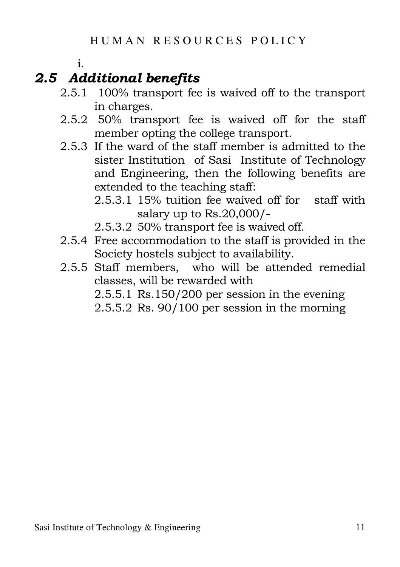#### i.

# 2.5 Additional benefits

- 2.5.1 100% transport fee is waived off to the transport in charges.
- 2.5.2 50% transport fee is waived off for the staff member opting the college transport.
- 2.5.3 If the ward of the staff member is admitted to the sister Institution of Sasi Institute of Technology and Engineering, then the following benefits are extended to the teaching staff:
	- 2.5.3.1 15% tuition fee waived off for staff with salary up to Rs.20,000/-
	- 2.5.3.2 50% transport fee is waived off.
- 2.5.4 Free accommodation to the staff is provided in the Society hostels subject to availability.
- 2.5.5 Staff members, who will be attended remedial classes, will be rewarded with 2.5.5.1 Rs.150/200 per session in the evening

2.5.5.2 Rs. 90/100 per session in the morning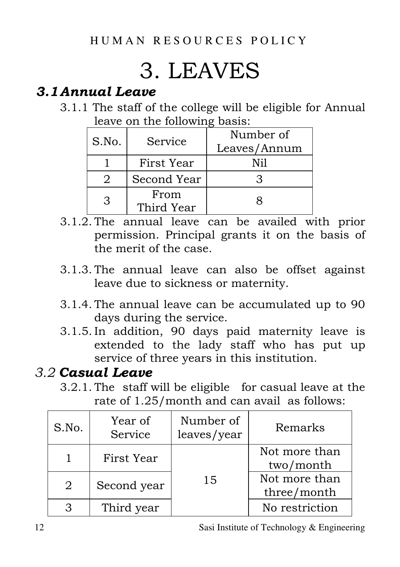# 3. LEAVES

# 3.1Annual Leave

3.1.1 The staff of the college will be eligible for Annual leave on the following basis:

| S.No. | Service            | Number of<br>Leaves/Annum |
|-------|--------------------|---------------------------|
|       | First Year         | Ni1                       |
|       | Second Year        |                           |
| З     | From<br>Third Year |                           |

- 3.1.2. The annual leave can be availed with prior permission. Principal grants it on the basis of the merit of the case.
- 3.1.3. The annual leave can also be offset against leave due to sickness or maternity.
- 3.1.4. The annual leave can be accumulated up to 90 days during the service.
- 3.1.5. In addition, 90 days paid maternity leave is extended to the lady staff who has put up service of three years in this institution.

## 3.2 Casual Leave

3.2.1. The staff will be eligible for casual leave at the rate of 1.25/month and can avail as follows:

| S.No. | Year of<br>Service | Number of<br>leaves/year | Remarks                      |
|-------|--------------------|--------------------------|------------------------------|
|       | First Year         |                          | Not more than<br>two/month   |
| 2     | Second year        | 15                       | Not more than<br>three/month |
|       | Third year         |                          | No restriction               |